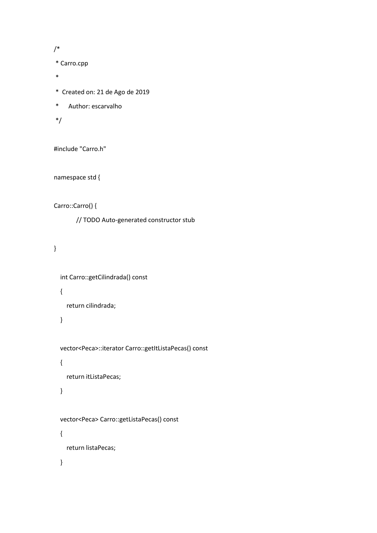/\*

\* Carro.cpp

- \*
- \* Created on: 21 de Ago de 2019
- \* Author: escarvalho

\*/

#include "Carro.h"

namespace std {

Carro::Carro() {

// TODO Auto-generated constructor stub

}

int Carro::getCilindrada() const

{

return cilindrada;

}

vector<Peca>::iterator Carro::getItListaPecas() const

{

return itListaPecas;

}

vector<Peca> Carro::getListaPecas() const

return listaPecas;

}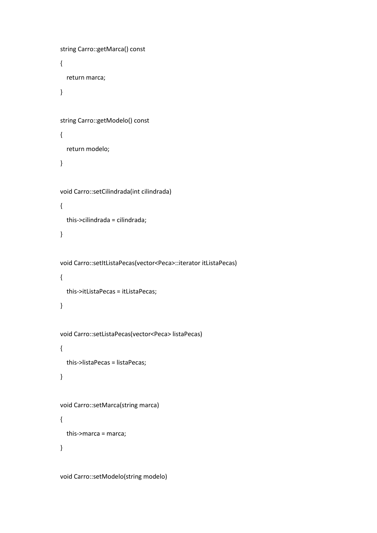```
 string Carro::getMarca() const
 {
   return marca;
 }
 string Carro::getModelo() const
 {
   return modelo;
 }
 void Carro::setCilindrada(int cilindrada)
 {
   this->cilindrada = cilindrada;
 }
 void Carro::setItListaPecas(vector<Peca>::iterator itListaPecas)
 {
   this->itListaPecas = itListaPecas;
 }
 void Carro::setListaPecas(vector<Peca> listaPecas)
 {
   this->listaPecas = listaPecas;
 }
 void Carro::setMarca(string marca)
 {
   this->marca = marca;
 }
```
void Carro::setModelo(string modelo)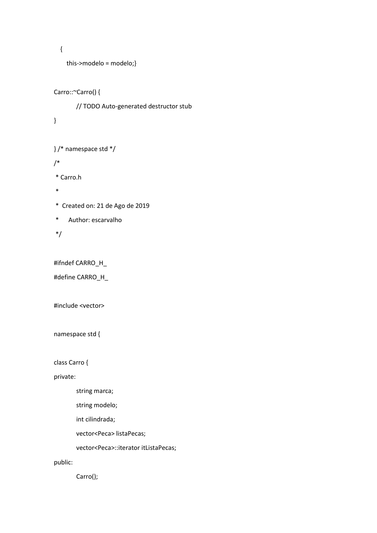```
 {
```

```
 this->modelo = modelo;}
```

```
Carro::~Carro() {
```
// TODO Auto-generated destructor stub

}

```
} /* namespace std */
```
/\*

\* Carro.h

\*

\* Created on: 21 de Ago de 2019

\* Author: escarvalho

\*/

#ifndef CARRO\_H\_

#define CARRO\_H\_

#include <vector>

namespace std {

class Carro {

private:

string marca;

string modelo;

int cilindrada;

vector<Peca> listaPecas;

vector<Peca>::iterator itListaPecas;

public:

Carro();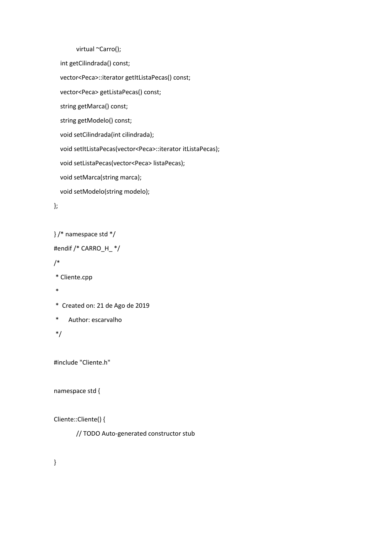```
virtual ~Carro();
 int getCilindrada() const;
 vector<Peca>::iterator getItListaPecas() const;
 vector<Peca> getListaPecas() const;
 string getMarca() const;
 string getModelo() const;
 void setCilindrada(int cilindrada);
 void setItListaPecas(vector<Peca>::iterator itListaPecas);
void setListaPecas(vector<Peca> listaPecas);
 void setMarca(string marca);
 void setModelo(string modelo);
```

```
};
```

```
} /* namespace std */
```

```
#endif /* CARRO_H_ */
```

```
/*
```

```
* Cliente.cpp
```

```
*
```
- \* Created on: 21 de Ago de 2019
- \* Author: escarvalho

\*/

```
#include "Cliente.h"
```
### namespace std {

## Cliente::Cliente() {

// TODO Auto-generated constructor stub

}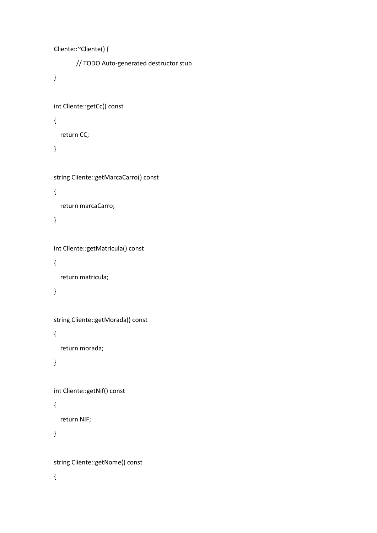```
Cliente::~Cliente() {
       // TODO Auto-generated destructor stub
}
int Cliente::getCc() const
{
   return CC;
}
string Cliente::getMarcaCarro() const
{
   return marcaCarro;
}
int Cliente::getMatricula() const
{
   return matricula;
}
string Cliente::getMorada() const
{
   return morada;
}
int Cliente::getNif() const
{
   return NIF;
}
```
string Cliente::getNome() const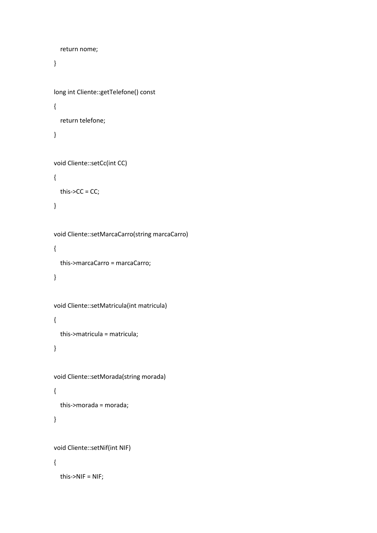```
 return nome;
}
long int Cliente::getTelefone() const
{
   return telefone;
}
void Cliente::setCc(int CC)
{
  this->CC = CC;
}
void Cliente::setMarcaCarro(string marcaCarro)
{
   this->marcaCarro = marcaCarro;
}
void Cliente::setMatricula(int matricula)
```
### {

this->matricula = matricula;

# }

```
void Cliente::setMorada(string morada)
{
   this->morada = morada;
}
void Cliente::setNif(int NIF)
```

```
 this->NIF = NIF;
```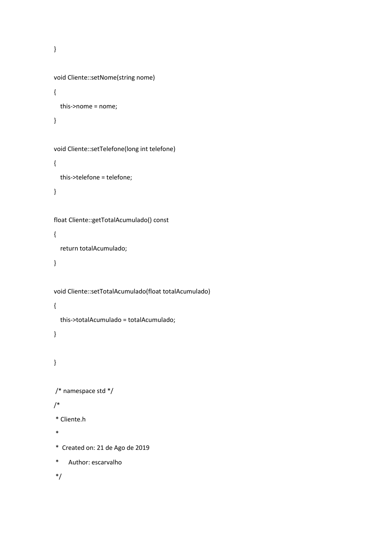}

```
void Cliente::setNome(string nome)
{
   this->nome = nome;
}
void Cliente::setTelefone(long int telefone)
{
   this->telefone = telefone;
}
float Cliente::getTotalAcumulado() const
{
   return totalAcumulado;
}
void Cliente::setTotalAcumulado(float totalAcumulado)
{
   this->totalAcumulado = totalAcumulado;
}
}
/* namespace std */
/*
```

```
* Cliente.h
```
\*

\* Created on: 21 de Ago de 2019

```
* Author: escarvalho
```
\*/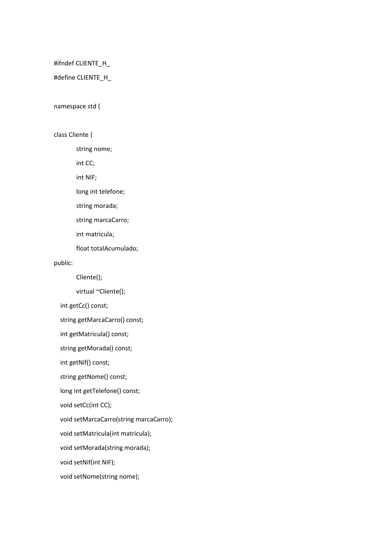#ifndef CLIENTE\_H\_

#define CLIENTE\_H\_

#### namespace std {

class Cliente {

string nome;

int CC;

int NIF;

long int telefone;

string morada;

string marcaCarro;

int matricula;

float totalAcumulado;

public:

Cliente();

virtual ~Cliente();

int getCc() const;

string getMarcaCarro() const;

int getMatricula() const;

string getMorada() const;

int getNif() const;

string getNome() const;

long int getTelefone() const;

void setCc(int CC);

void setMarcaCarro(string marcaCarro);

void setMatricula(int matricula);

void setMorada(string morada);

void setNif(int NIF);

void setNome(string nome);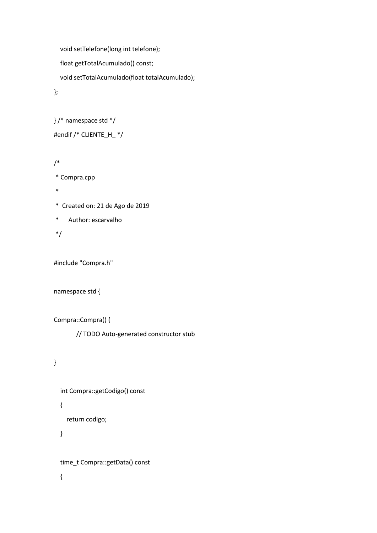```
 void setTelefone(long int telefone);
   float getTotalAcumulado() const;
   void setTotalAcumulado(float totalAcumulado);
};
```

```
} /* namespace std */
#endif /* CLIENTE_H_ */
```

```
/*
```

```
* Compra.cpp
```

```
*
```
\* Created on: 21 de Ago de 2019

```
* Author: escarvalho
```
\*/

#include "Compra.h"

```
namespace std {
```

```
Compra::Compra() {
```
// TODO Auto-generated constructor stub

## }

```
 int Compra::getCodigo() const
 {
   return codigo;
```
}

time\_t Compra::getData() const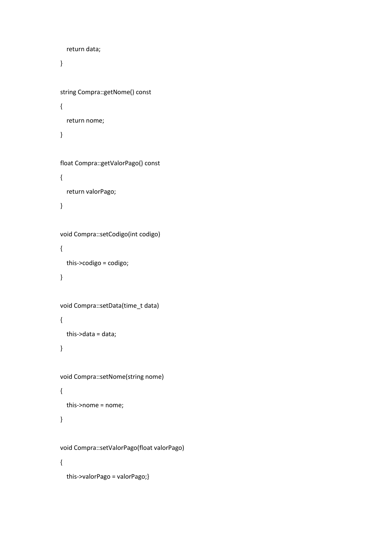```
 return data;
 }
 string Compra::getNome() const
 {
   return nome;
 }
 float Compra::getValorPago() const
 {
   return valorPago;
 }
 void Compra::setCodigo(int codigo)
 {
   this->codigo = codigo;
 }
 void Compra::setData(time_t data)
 {
  this->data = data;
 }
 void Compra::setNome(string nome)
 {
   this->nome = nome;
 }
 void Compra::setValorPago(float valorPago)
 {
   this->valorPago = valorPago;}
```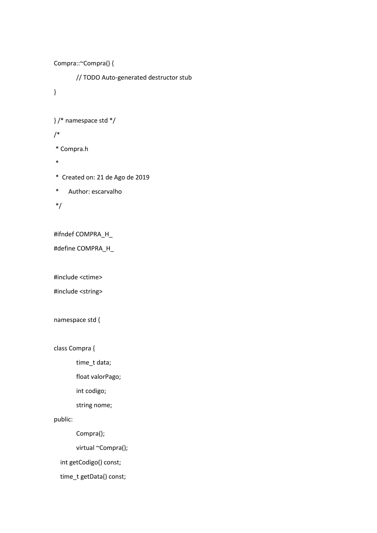```
Compra::~Compra() {
       // TODO Auto-generated destructor stub
}
} /* namespace std */
/*
* Compra.h
*
* Created on: 21 de Ago de 2019
* Author: escarvalho
*/
#ifndef COMPRA_H_
#define COMPRA_H_
#include <ctime>
#include <string>
namespace std {
class Compra {
       time_t data;
       float valorPago;
```
int codigo;

string nome;

public:

Compra();

virtual ~Compra();

int getCodigo() const;

time\_t getData() const;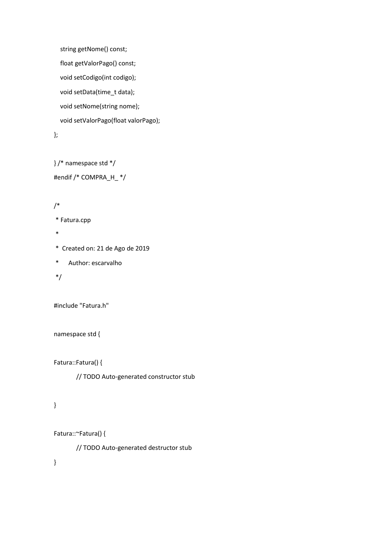```
 string getNome() const;
 float getValorPago() const;
 void setCodigo(int codigo);
 void setData(time_t data);
 void setNome(string nome);
 void setValorPago(float valorPago);
```

```
};
```

```
} /* namespace std */
#endif /* COMPRA_H_ */
```
## /\*

```
* Fatura.cpp
```
\*

\* Created on: 21 de Ago de 2019

\* Author: escarvalho

```
*/
```
#include "Fatura.h"

```
namespace std {
```
Fatura::Fatura() {

// TODO Auto-generated constructor stub

# }

```
Fatura::~Fatura() {
```
// TODO Auto-generated destructor stub

}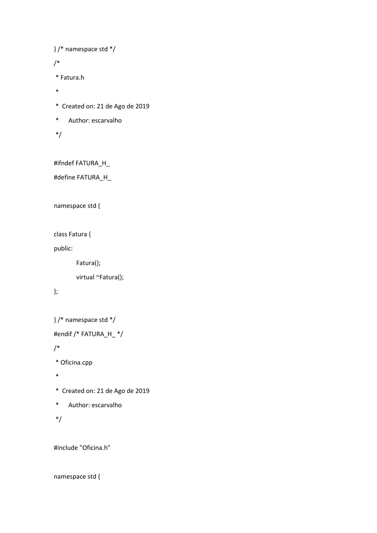```
} /* namespace std */
```
/\*

```
* Fatura.h
```
- \*
- \* Created on: 21 de Ago de 2019
- \* Author: escarvalho
- \*/

#ifndef FATURA\_H\_

#define FATURA\_H\_

namespace std {

class Fatura {

public:

Fatura();

virtual ~Fatura();

## };

```
} /* namespace std */
#endif /* FATURA_H_ */
/*
* Oficina.cpp
*
* Created on: 21 de Ago de 2019
* Author: escarvalho
```
\*/

#include "Oficina.h"

#### namespace std {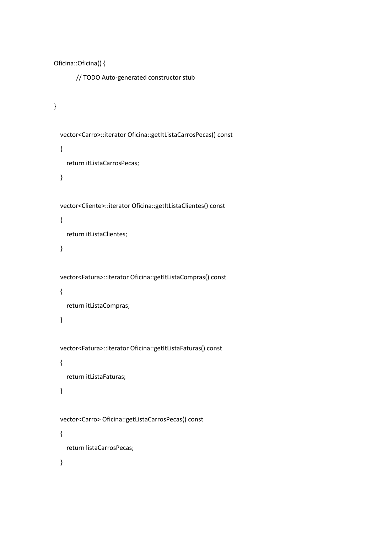```
Oficina::Oficina() {
        // TODO Auto-generated constructor stub
}
   vector<Carro>::iterator Oficina::getItListaCarrosPecas() const
   {
     return itListaCarrosPecas;
   }
   vector<Cliente>::iterator Oficina::getItListaClientes() const
   {
     return itListaClientes;
   }
   vector<Fatura>::iterator Oficina::getItListaCompras() const
   {
     return itListaCompras;
   }
   vector<Fatura>::iterator Oficina::getItListaFaturas() const
   {
     return itListaFaturas;
   }
   vector<Carro> Oficina::getListaCarrosPecas() const
   {
     return listaCarrosPecas;
   }
```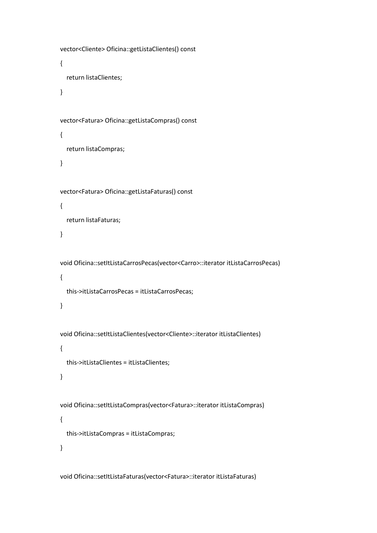```
 vector<Cliente> Oficina::getListaClientes() const
 {
   return listaClientes;
 }
 vector<Fatura> Oficina::getListaCompras() const
 {
   return listaCompras;
 }
 vector<Fatura> Oficina::getListaFaturas() const
 {
   return listaFaturas;
 }
 void Oficina::setItListaCarrosPecas(vector<Carro>::iterator itListaCarrosPecas)
 {
   this->itListaCarrosPecas = itListaCarrosPecas;
 }
 void Oficina::setItListaClientes(vector<Cliente>::iterator itListaClientes)
 {
   this->itListaClientes = itListaClientes;
 }
 void Oficina::setItListaCompras(vector<Fatura>::iterator itListaCompras)
 {
   this->itListaCompras = itListaCompras;
 }
```
void Oficina::setItListaFaturas(vector<Fatura>::iterator itListaFaturas)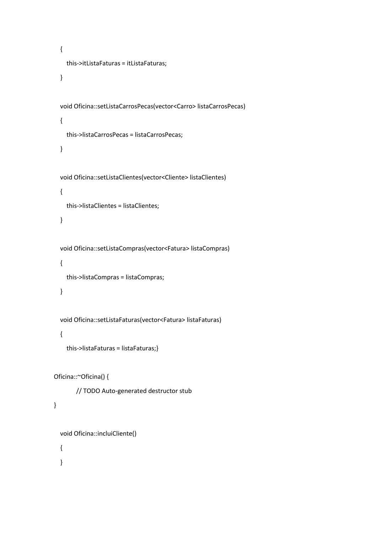```
 {
     this->itListaFaturas = itListaFaturas;
   }
   void Oficina::setListaCarrosPecas(vector<Carro> listaCarrosPecas)
   {
     this->listaCarrosPecas = listaCarrosPecas;
   }
   void Oficina::setListaClientes(vector<Cliente> listaClientes)
   {
     this->listaClientes = listaClientes;
   }
   void Oficina::setListaCompras(vector<Fatura> listaCompras)
   {
     this->listaCompras = listaCompras;
   }
   void Oficina::setListaFaturas(vector<Fatura> listaFaturas)
   {
     this->listaFaturas = listaFaturas;}
Oficina::~Oficina() {
        // TODO Auto-generated destructor stub
```

```
}
```

```
 void Oficina::incluiCliente()
```
{

}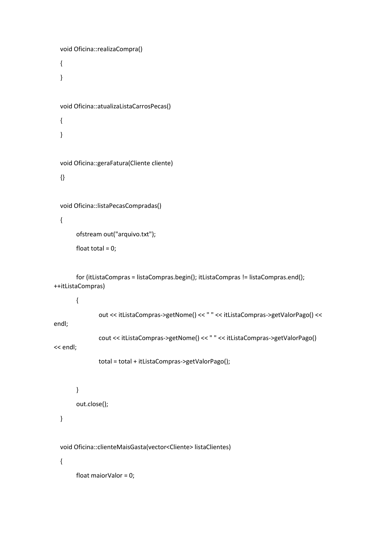```
 void Oficina::realizaCompra()
   {
   }
   void Oficina::atualizaListaCarrosPecas()
   {
   }
   void Oficina::geraFatura(Cliente cliente)
   {}
   void Oficina::listaPecasCompradas()
   {
         ofstream out("arquivo.txt");
        float total = 0;
         for (itListaCompras = listaCompras.begin(); itListaCompras != listaCompras.end(); 
++itListaCompras)
         {
                 out << itListaCompras->getNome() << " " << itListaCompras->getValorPago() << 
endl;
                 cout << itListaCompras->getNome() << " " << itListaCompras->getValorPago() 
<< endl;
                 total = total + itListaCompras->getValorPago();
        }
         out.close();
   }
   void Oficina::clienteMaisGasta(vector<Cliente> listaClientes)
   {
```
float maiorValor = 0;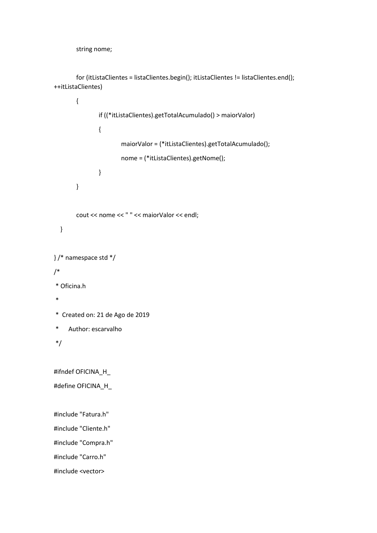string nome;

 for (itListaClientes = listaClientes.begin(); itListaClientes != listaClientes.end(); ++itListaClientes)

```
 {
               if ((*itListaClientes).getTotalAcumulado() > maiorValor)
 {
                       maiorValor = (*itListaClientes).getTotalAcumulado();
                       nome = (*itListaClientes).getNome();
 }
        }
        cout << nome << " " << maiorValor << endl;
   }
} /* namespace std */
/*
* Oficina.h
*
* Created on: 21 de Ago de 2019
* Author: escarvalho
*/
#ifndef OFICINA_H_
#define OFICINA_H_
#include "Fatura.h"
#include "Cliente.h"
#include "Compra.h"
#include "Carro.h"
#include <vector>
```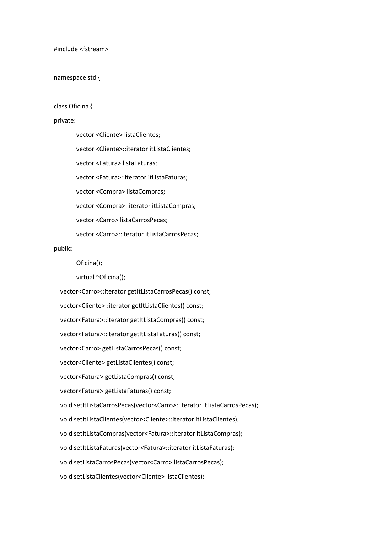#include <fstream>

namespace std {

class Oficina {

#### private:

vector <Cliente> listaClientes; vector <Cliente>::iterator itListaClientes; vector <Fatura> listaFaturas; vector <Fatura>::iterator itListaFaturas; vector <Compra> listaCompras; vector <Compra>::iterator itListaCompras; vector <Carro> listaCarrosPecas; vector <Carro>::iterator itListaCarrosPecas;

#### public:

Oficina();

virtual ~Oficina();

 vector<Carro>::iterator getItListaCarrosPecas() const; vector<Cliente>::iterator getItListaClientes() const; vector<Fatura>::iterator getItListaCompras() const; vector<Fatura>::iterator getItListaFaturas() const; vector<Carro> getListaCarrosPecas() const; vector<Cliente> getListaClientes() const; vector<Fatura> getListaCompras() const; vector<Fatura> getListaFaturas() const; void setItListaCarrosPecas(vector<Carro>::iterator itListaCarrosPecas); void setItListaClientes(vector<Cliente>::iterator itListaClientes); void setItListaCompras(vector<Fatura>::iterator itListaCompras); void setItListaFaturas(vector<Fatura>::iterator itListaFaturas); void setListaCarrosPecas(vector<Carro> listaCarrosPecas); void setListaClientes(vector<Cliente> listaClientes);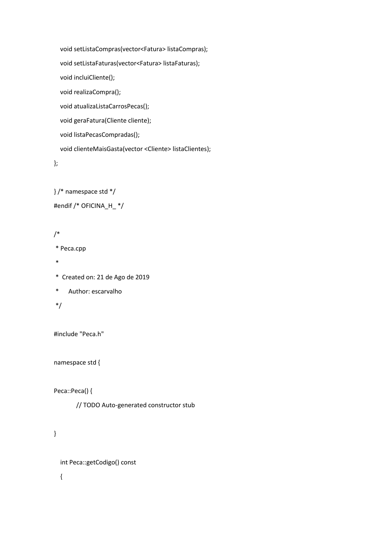void setListaCompras(vector<Fatura> listaCompras); void setListaFaturas(vector<Fatura> listaFaturas); void incluiCliente(); void realizaCompra(); void atualizaListaCarrosPecas(); void geraFatura(Cliente cliente); void listaPecasCompradas(); void clienteMaisGasta(vector <Cliente> listaClientes);

};

} /\* namespace std \*/

#endif /\* OFICINA\_H\_ \*/

### /\*

\* Peca.cpp

- \*
- \* Created on: 21 de Ago de 2019

```
* Author: escarvalho
```
## \*/

#include "Peca.h"

namespace std {

Peca::Peca() {

// TODO Auto-generated constructor stub

## }

int Peca::getCodigo() const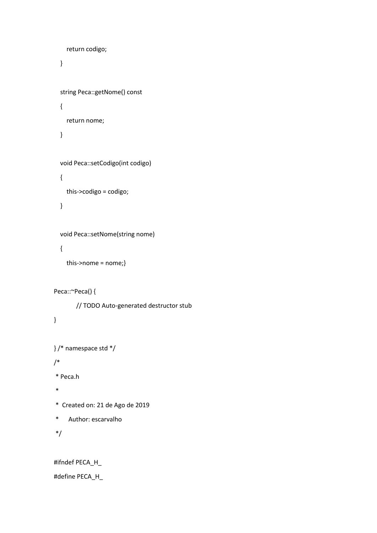```
 return codigo;
 }
 string Peca::getNome() const
 {
   return nome;
 }
 void Peca::setCodigo(int codigo)
 {
   this->codigo = codigo;
 }
 void Peca::setNome(string nome)
```

```
 {
```

```
 this->nome = nome;}
```

```
Peca::~Peca() {
```
// TODO Auto-generated destructor stub

```
}
```

```
} /* namespace std */
```

```
/*
```
\* Peca.h

```
*
```

```
* Created on: 21 de Ago de 2019
```
\* Author: escarvalho

```
*/
```
#ifndef PECA\_H\_

#define PECA\_H\_